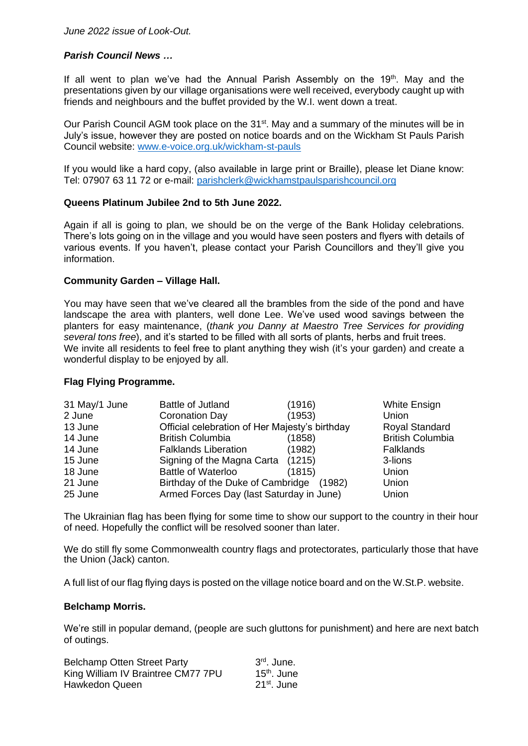# *Parish Council News …*

If all went to plan we've had the Annual Parish Assembly on the  $19<sup>th</sup>$ . May and the presentations given by our village organisations were well received, everybody caught up with friends and neighbours and the buffet provided by the W.I. went down a treat.

Our Parish Council AGM took place on the 31<sup>st</sup>. May and a summary of the minutes will be in July's issue, however they are posted on notice boards and on the Wickham St Pauls Parish Council website: [www.e-voice.org.uk/wickham-st-pauls](http://www.e-voice.org.uk/wickham-st-pauls)

If you would like a hard copy, (also available in large print or Braille), please let Diane know: Tel: 07907 63 11 72 or e-mail: [parishclerk@wickhamstpaulsparishcouncil.org](mailto:parishclerk@wickhamstpaulsparishcouncil.org)

## **Queens Platinum Jubilee 2nd to 5th June 2022.**

Again if all is going to plan, we should be on the verge of the Bank Holiday celebrations. There's lots going on in the village and you would have seen posters and flyers with details of various events. If you haven't, please contact your Parish Councillors and they'll give you information.

### **Community Garden – Village Hall.**

You may have seen that we've cleared all the brambles from the side of the pond and have landscape the area with planters, well done Lee. We've used wood savings between the planters for easy maintenance, (*thank you Danny at Maestro Tree Services for providing several tons free*), and it's started to be filled with all sorts of plants, herbs and fruit trees. We invite all residents to feel free to plant anything they wish (it's your garden) and create a wonderful display to be enjoyed by all.

## **Flag Flying Programme.**

| 31 May/1 June | <b>Battle of Jutland</b>                       | (1916) | White Ensign            |
|---------------|------------------------------------------------|--------|-------------------------|
| 2 June        | Coronation Day                                 | (1953) | Union                   |
| 13 June       | Official celebration of Her Majesty's birthday |        | Royal Standard          |
| 14 June       | <b>British Columbia</b>                        | (1858) | <b>British Columbia</b> |
| 14 June       | <b>Falklands Liberation</b>                    | (1982) | <b>Falklands</b>        |
| 15 June       | Signing of the Magna Carta (1215)              |        | 3-lions                 |
| 18 June       | <b>Battle of Waterloo</b>                      | (1815) | Union                   |
| 21 June       | Birthday of the Duke of Cambridge              | (1982) | Union                   |
| 25 June       | Armed Forces Day (last Saturday in June)       |        | Union                   |

The Ukrainian flag has been flying for some time to show our support to the country in their hour of need. Hopefully the conflict will be resolved sooner than later.

We do still fly some Commonwealth country flags and protectorates, particularly those that have the Union (Jack) canton.

A full list of our flag flying days is posted on the village notice board and on the W.St.P. website.

#### **Belchamp Morris.**

We're still in popular demand, (people are such gluttons for punishment) and here are next batch of outings.

| <b>Belchamp Otten Street Party</b> | $3rd$ . June.           |
|------------------------------------|-------------------------|
| King William IV Braintree CM77 7PU | 15 <sup>th</sup> . June |
| Hawkedon Queen                     | 21 <sup>st</sup> . June |